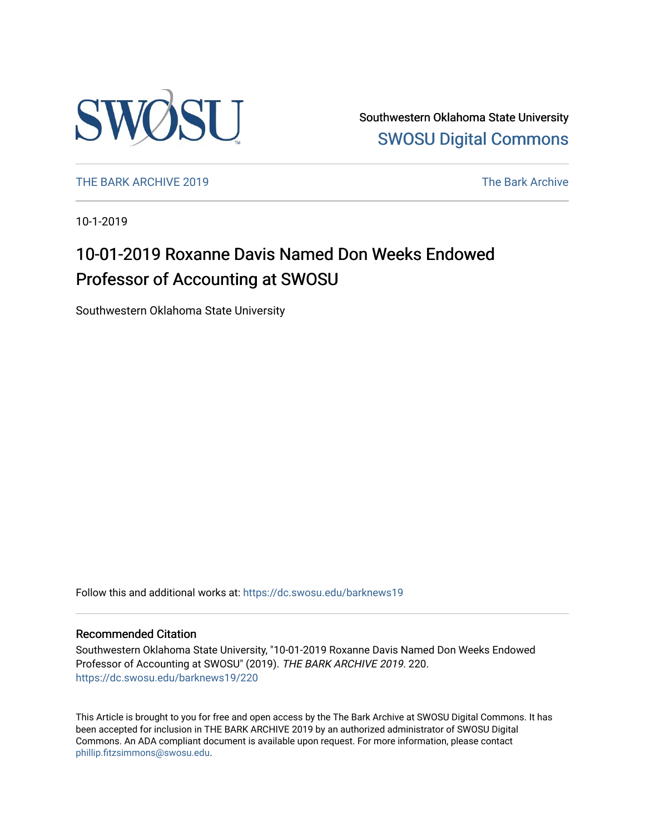

Southwestern Oklahoma State University [SWOSU Digital Commons](https://dc.swosu.edu/) 

[THE BARK ARCHIVE 2019](https://dc.swosu.edu/barknews19) The Bark Archive

10-1-2019

## 10-01-2019 Roxanne Davis Named Don Weeks Endowed Professor of Accounting at SWOSU

Southwestern Oklahoma State University

Follow this and additional works at: [https://dc.swosu.edu/barknews19](https://dc.swosu.edu/barknews19?utm_source=dc.swosu.edu%2Fbarknews19%2F220&utm_medium=PDF&utm_campaign=PDFCoverPages)

#### Recommended Citation

Southwestern Oklahoma State University, "10-01-2019 Roxanne Davis Named Don Weeks Endowed Professor of Accounting at SWOSU" (2019). THE BARK ARCHIVE 2019. 220. [https://dc.swosu.edu/barknews19/220](https://dc.swosu.edu/barknews19/220?utm_source=dc.swosu.edu%2Fbarknews19%2F220&utm_medium=PDF&utm_campaign=PDFCoverPages)

This Article is brought to you for free and open access by the The Bark Archive at SWOSU Digital Commons. It has been accepted for inclusion in THE BARK ARCHIVE 2019 by an authorized administrator of SWOSU Digital Commons. An ADA compliant document is available upon request. For more information, please contact [phillip.fitzsimmons@swosu.edu](mailto:phillip.fitzsimmons@swosu.edu).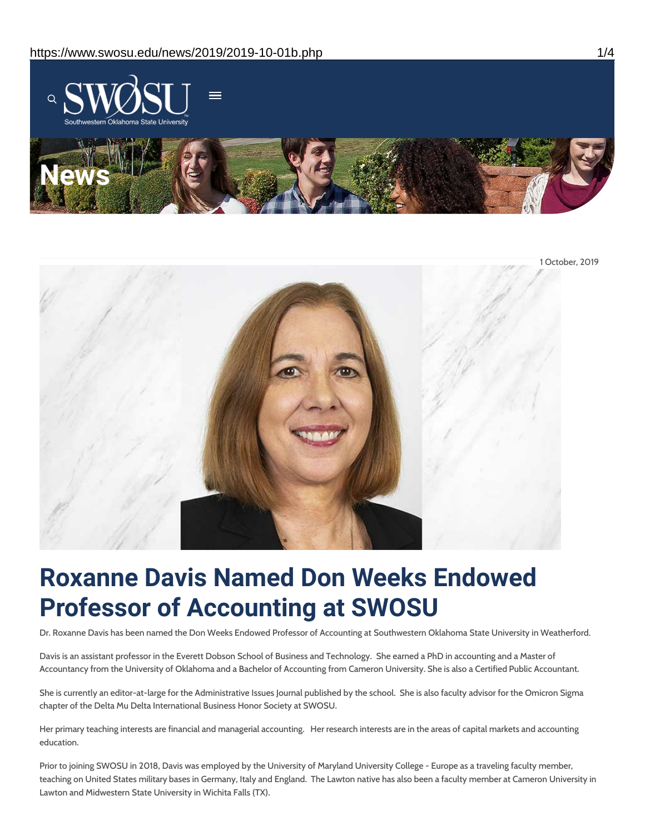



# **Roxanne Davis Named Don Weeks Endowed Professor of Accounting at SWOSU**

Dr. Roxanne Davis has been named the Don Weeks Endowed Professor of Accounting at Southwestern Oklahoma State University in Weatherford.

Davis is an assistant professor in the Everett Dobson School of Business and Technology. She earned a PhD in accounting and a Master of Accountancy from the University of Oklahoma and a Bachelor of Accounting from Cameron University. She is also a Certified Public Accountant.

She is currently an editor-at-large for the Administrative Issues Journal published by the school. She is also faculty advisor for the Omicron Sigma chapter of the Delta Mu Delta International Business Honor Society at SWOSU.

Her primary teaching interests are financial and managerial accounting. Her research interests are in the areas of capital markets and accounting education.

Prior to joining SWOSU in 2018, Davis was employed by the University of Maryland University College - Europe as a traveling faculty member, teaching on United States military bases in Germany, Italy and England. The Lawton native has also been a faculty member at Cameron University in Lawton and Midwestern State University in Wichita Falls (TX).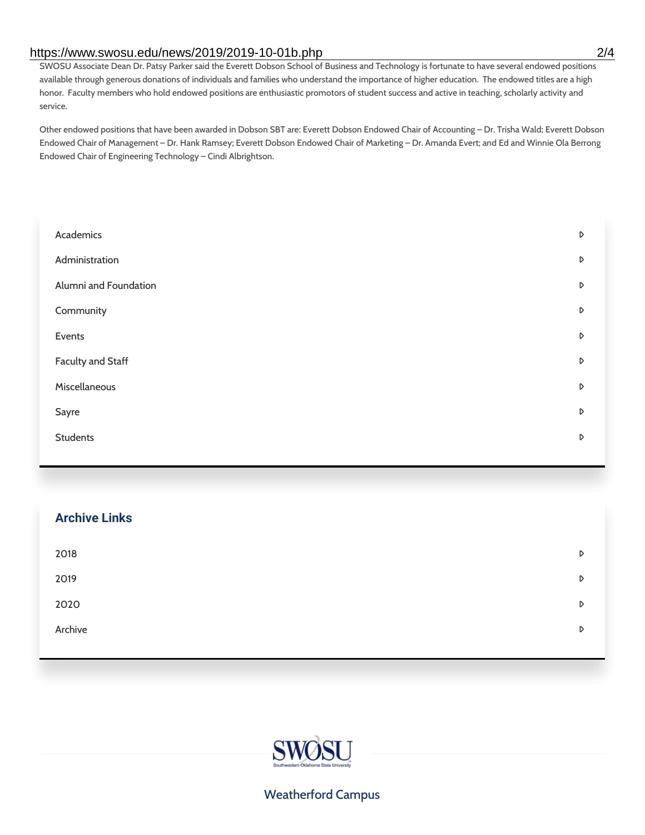#### https://www.swosu.edu/news/2019/2019-10-01b.php 2/4

SWOSU Associate Dean Dr. Patsy Parker said the Everett Dobson School of Business and Technology is fortunate to have several endowed positions available through generous donations of individuals and families who understand the importance of higher education. The endowed titles are a high honor. Faculty members who hold endowed positions are enthusiastic promotors of student success and active in teaching, scholarly activity and service.

Other endowed positions that have been awarded in Dobson SBT are: Everett Dobson Endowed Chair of Accounting – Dr. Trisha Wald; Everett Dobson Endowed Chair of Management – Dr. Hank Ramsey; Everett Dobson Endowed Chair of Marketing – Dr. Amanda Evert; and Ed and Winnie Ola Berrong Endowed Chair of Engineering Technology – Cindi Albrightson.

| Academics                | D |
|--------------------------|---|
| Administration           | D |
| Alumni and Foundation    | D |
| Community                | D |
| Events                   | D |
| <b>Faculty and Staff</b> | D |
| Miscellaneous            | D |
| Sayre                    | D |
| <b>Students</b>          | D |
|                          |   |

| <b>Archive Links</b> |   |
|----------------------|---|
| 2018                 | D |
| 2019                 | D |
| 2020                 | D |
| Archive              | D |
|                      |   |



#### Weatherford Campus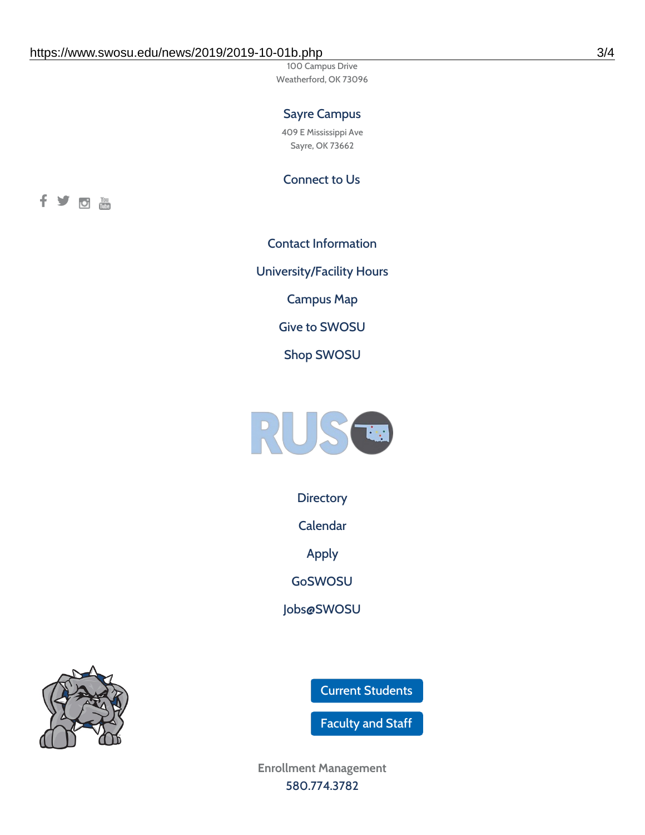100 Campus Drive Weatherford, OK 73096

### Sayre Campus

409 E Mississippi Ave Sayre, OK 73662

Connect to Us



Contact [Information](https://www.swosu.edu/about/contact.php) [University/Facility](https://www.swosu.edu/about/operating-hours.php) Hours [Campus](https://map.concept3d.com/?id=768#!ct/10964,10214,10213,10212,10205,10204,10203,10202,10136,10129,10128,0,31226,10130,10201,10641,0) Map Give to [SWOSU](https://standingfirmly.com/donate) Shop [SWOSU](https://shopswosu.merchorders.com/)



**[Directory](https://www.swosu.edu/directory/index.php)** 

[Calendar](https://eventpublisher.dudesolutions.com/swosu/)

[Apply](https://www.swosu.edu/admissions/apply-to-swosu.php)

[GoSWOSU](https://qlsso.quicklaunchsso.com/home/1267)

[Jobs@SWOSU](https://swosu.csod.com/ux/ats/careersite/1/home?c=swosu)

Current [Students](https://bulldog.swosu.edu/index.php)

[Faculty](https://bulldog.swosu.edu/faculty-staff/index.php) and Staff

**Enrollment Management** [580.774.3782](tel:5807743782)